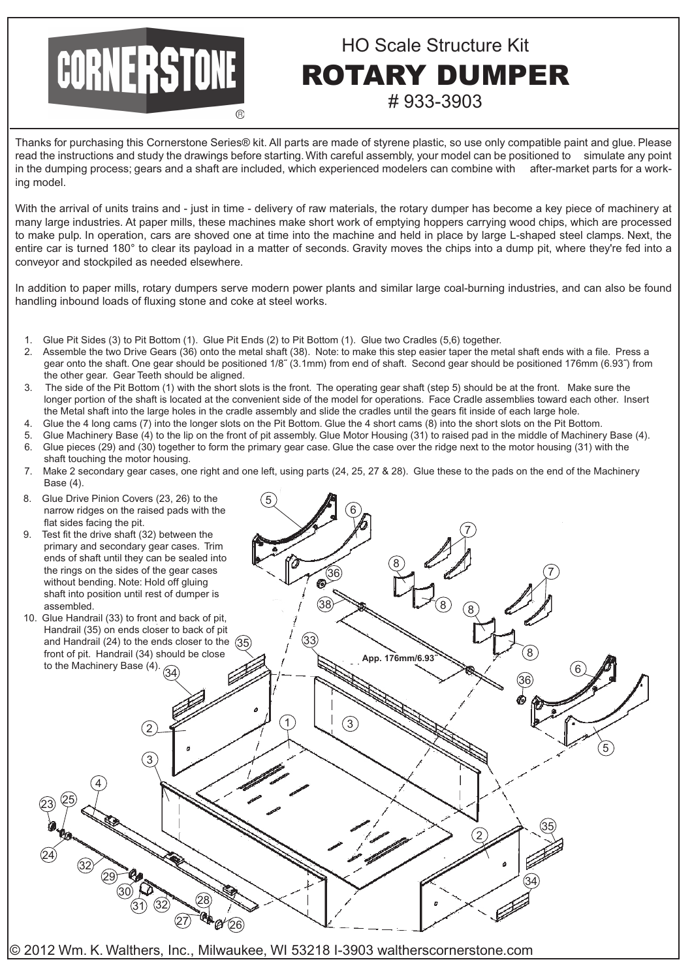## HO Scale Structure Kit ROTARY DUMPER # 933-3903

Thanks for purchasing this Cornerstone Series® kit. All parts are made of styrene plastic, so use only compatible paint and glue. Please read the instructions and study the drawings before starting. With careful assembly, your model can be positioned to simulate any point in the dumping process; gears and a shaft are included, which experienced modelers can combine with after-market parts for a working model.

With the arrival of units trains and - just in time - delivery of raw materials, the rotary dumper has become a key piece of machinery at many large industries. At paper mills, these machines make short work of emptying hoppers carrying wood chips, which are processed to make pulp. In operation, cars are shoved one at time into the machine and held in place by large L-shaped steel clamps. Next, the entire car is turned 180° to clear its payload in a matter of seconds. Gravity moves the chips into a dump pit, where they're fed into a conveyor and stockpiled as needed elsewhere.

In addition to paper mills, rotary dumpers serve modern power plants and similar large coal-burning industries, and can also be found handling inbound loads of fluxing stone and coke at steel works.

1. Glue Pit Sides (3) to Pit Bottom (1). Glue Pit Ends (2) to Pit Bottom (1). Glue two Cradles (5,6) together.

CORNERSTONE

- 2. Assemble the two Drive Gears (36) onto the metal shaft (38). Note: to make this step easier taper the metal shaft ends with a file. Press a gear onto the shaft. One gear should be positioned 1/8˝ (3.1mm) from end of shaft. Second gear should be positioned 176mm (6.93˝) from the other gear. Gear Teeth should be aligned.
- 3. The side of the Pit Bottom (1) with the short slots is the front. The operating gear shaft (step 5) should be at the front. Make sure the longer portion of the shaft is located at the convenient side of the model for operations. Face Cradle assemblies toward each other. Insert the Metal shaft into the large holes in the cradle assembly and slide the cradles until the gears fit inside of each large hole.
- 4. Glue the 4 long cams (7) into the longer slots on the Pit Bottom. Glue the 4 short cams (8) into the short slots on the Pit Bottom.
- 5. Glue Machinery Base (4) to the lip on the front of pit assembly. Glue Motor Housing (31) to raised pad in the middle of Machinery Base (4).
- 6. Glue pieces (29) and (30) together to form the primary gear case. Glue the case over the ridge next to the motor housing (31) with the shaft touching the motor housing.
- 7. Make 2 secondary gear cases, one right and one left, using parts (24, 25, 27 & 28). Glue these to the pads on the end of the Machinery Base (4).



© 2012 Wm. K. Walthers, Inc., Milwaukee, WI 53218 I-3903 waltherscornerstone.com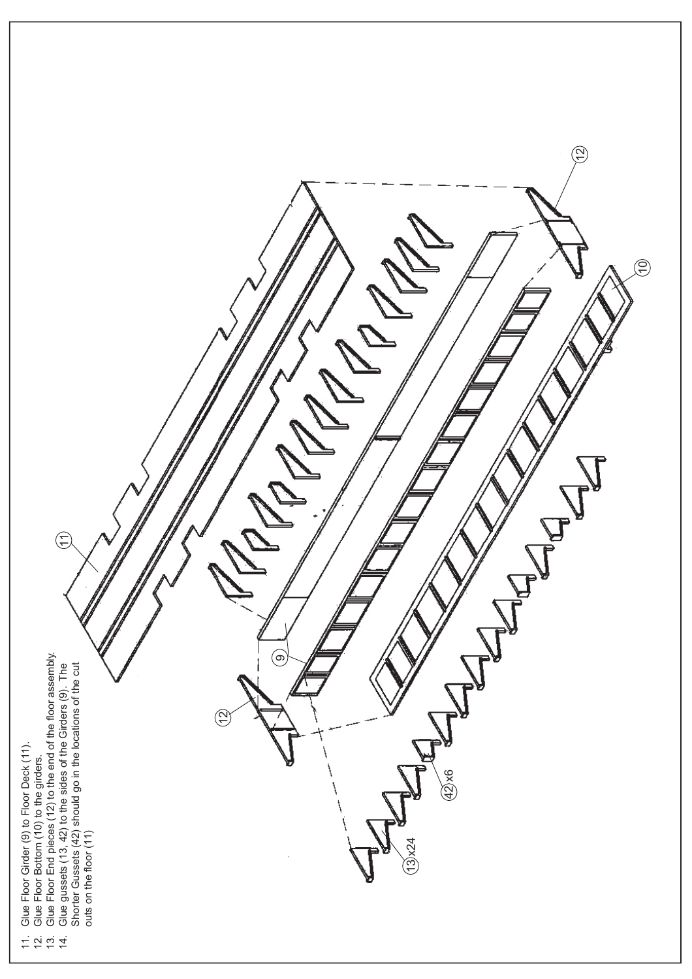